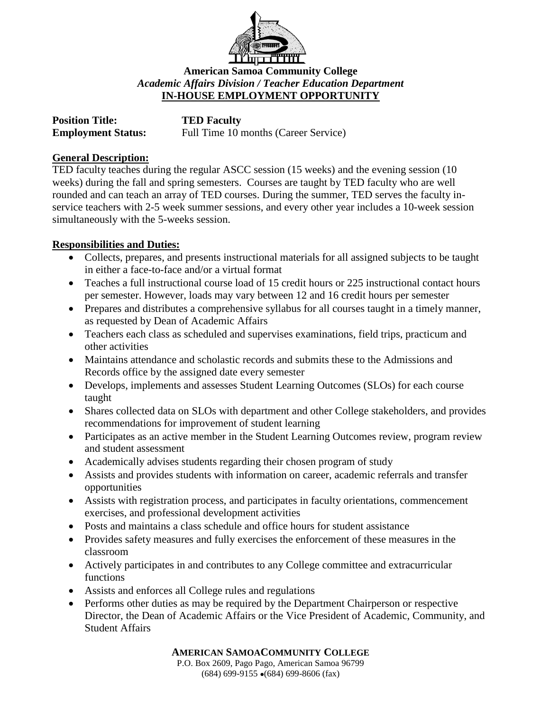

**American Samoa Community College** *Academic Affairs Division / Teacher Education Department* **IN-HOUSE EMPLOYMENT OPPORTUNITY**

| <b>Position Title:</b>    | <b>TED Faculty</b>                   |
|---------------------------|--------------------------------------|
| <b>Employment Status:</b> | Full Time 10 months (Career Service) |

## **General Description:**

TED faculty teaches during the regular ASCC session (15 weeks) and the evening session (10 weeks) during the fall and spring semesters. Courses are taught by TED faculty who are well rounded and can teach an array of TED courses. During the summer, TED serves the faculty inservice teachers with 2-5 week summer sessions, and every other year includes a 10-week session simultaneously with the 5-weeks session.

## **Responsibilities and Duties:**

- Collects, prepares, and presents instructional materials for all assigned subjects to be taught in either a face-to-face and/or a virtual format
- Teaches a full instructional course load of 15 credit hours or 225 instructional contact hours per semester. However, loads may vary between 12 and 16 credit hours per semester
- Prepares and distributes a comprehensive syllabus for all courses taught in a timely manner, as requested by Dean of Academic Affairs
- Teachers each class as scheduled and supervises examinations, field trips, practicum and other activities
- Maintains attendance and scholastic records and submits these to the Admissions and Records office by the assigned date every semester
- Develops, implements and assesses Student Learning Outcomes (SLOs) for each course taught
- Shares collected data on SLOs with department and other College stakeholders, and provides recommendations for improvement of student learning
- Participates as an active member in the Student Learning Outcomes review, program review and student assessment
- Academically advises students regarding their chosen program of study
- Assists and provides students with information on career, academic referrals and transfer opportunities
- Assists with registration process, and participates in faculty orientations, commencement exercises, and professional development activities
- Posts and maintains a class schedule and office hours for student assistance
- Provides safety measures and fully exercises the enforcement of these measures in the classroom
- Actively participates in and contributes to any College committee and extracurricular functions
- Assists and enforces all College rules and regulations
- Performs other duties as may be required by the Department Chairperson or respective Director, the Dean of Academic Affairs or the Vice President of Academic, Community, and Student Affairs

**AMERICAN SAMOACOMMUNITY COLLEGE**

P.O. Box 2609, Pago Pago, American Samoa 96799  $(684)$  699-9155  $\bullet$  (684) 699-8606 (fax)